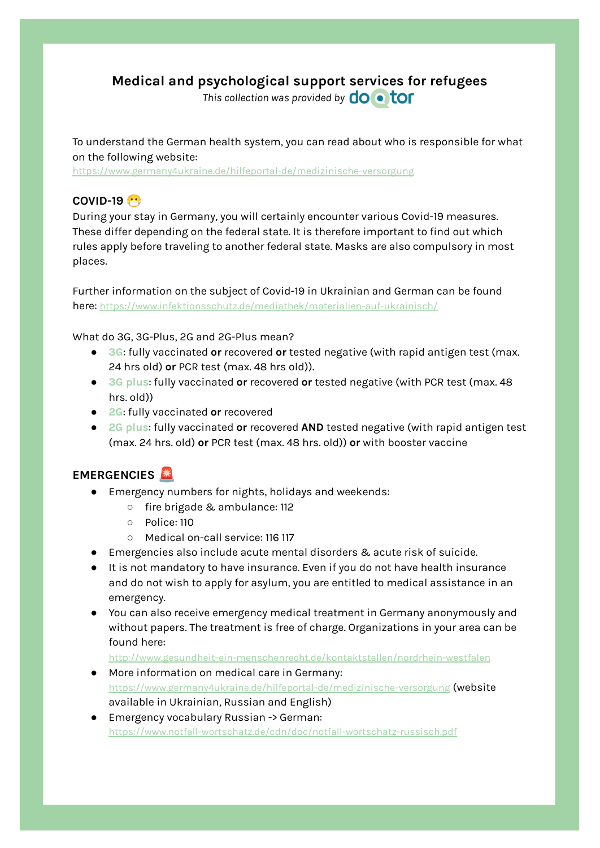# **Medical and psychological support services for refugees**

*This* collection was provided by  $\overline{do} \cdot \overline{tor}$ 

To understand the German health system, you can read about who is responsible for what on the following website:

<https://www.germany4ukraine.de/hilfeportal-de/medizinische-versorgung>

## **COVID-19**

During your stay in Germany, you will certainly encounter various Covid-19 measures. These differ depending on the federal state. It is therefore important to find out which rules apply before traveling to another federal state. Masks are also compulsory in most places.

Further information on the subject of Covid-19 in Ukrainian and German can be found here: <https://www.infektionsschutz.de/mediathek/materialien-auf-ukrainisch/>

What do 3G, 3G-Plus, 2G and 2G-Plus mean?

- **3G**: fully vaccinated **or** recovered **or** tested negative (with rapid antigen test (max. 24 hrs old) **or** PCR test (max. 48 hrs old)).
- **3G plus**: fully vaccinated **or** recovered **or** tested negative (with PCR test (max. 48 hrs. old))
- **2G**: fully vaccinated **or** recovered
- **2G plus**: fully vaccinated **or** recovered **AND** tested negative (with rapid antigen test (max. 24 hrs. old) **or** PCR test (max. 48 hrs. old)) **or** with booster vaccine

#### **EMERGENCIES**

- Emergency numbers for nights, holidays and weekends:
	- fire brigade & ambulance: 112
	- Police: 110
	- Medical on-call service: 116 117
- Emergencies also include acute mental disorders & acute risk of suicide.
- It is not mandatory to have insurance. Even if you do not have health insurance and do not wish to apply for asylum, you are entitled to medical assistance in an emergency.
- You can also receive emergency medical treatment in Germany anonymously and without papers. The treatment is free of charge. Organizations in your area can be found here:

<http://www.gesundheit-ein-menschenrecht.de/kontaktstellen/nordrhein-westfalen>

- More information on medical care in Germany: <https://www.germany4ukraine.de/hilfeportal-de/medizinische-versorgung> (website available in Ukrainian, Russian and English)
- Emergency vocabulary Russian -> German: <https://www.notfall-wortschatz.de/cdn/doc/notfall-wortschatz-russisch.pdf>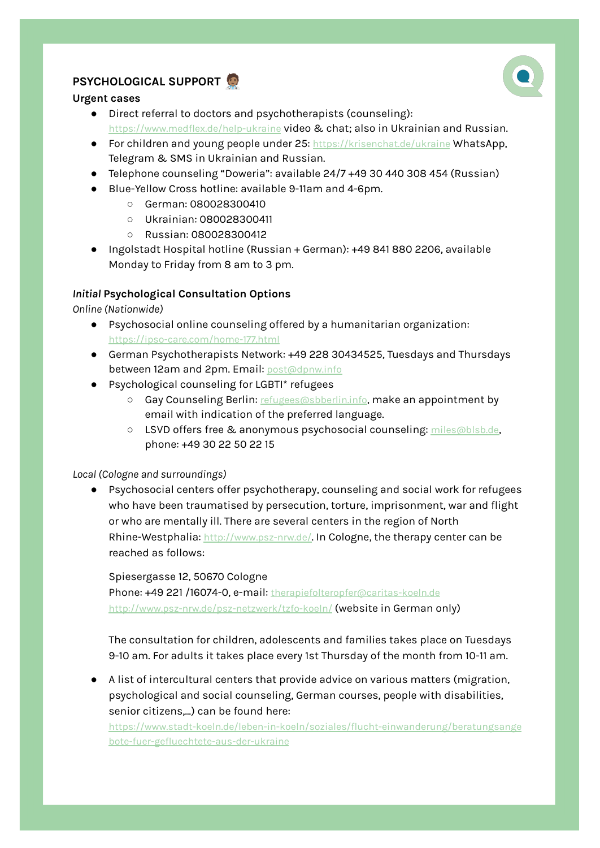# **PSYCHOLOGICAL SUPPORT**

#### **Urgent cases**

- Direct referral to doctors and psychotherapists (counseling): <https://www.medflex.de/help-ukraine> video & chat; also in Ukrainian and Russian.
- For children and young people under 25: <https://krisenchat.de/ukraine> WhatsApp, Telegram & SMS in Ukrainian and Russian.
- Telephone counseling "Doweria": available 24/7 +49 30 440 308 454 (Russian)
- Blue-Yellow Cross hotline: available 9-11am and 4-6pm.
	- German: 080028300410
	- Ukrainian: 080028300411
	- Russian: 080028300412
- Ingolstadt Hospital hotline (Russian + German): +49 841 880 2206, available Monday to Friday from 8 am to 3 pm.

### *Initial* **Psychological Consultation Options**

*Online (Nationwide)*

- Psychosocial online counseling offered by a humanitarian organization: <https://ipso-care.com/home-177.html>
- German Psychotherapists Network: +49 228 30434525, Tuesdays and Thursdays between 12am and 2pm. Email: [post@dpnw.info](mailto:post@dpnw.info)
- Psychological counseling for LGBTI\* refugees
	- Gay Counseling Berlin: [refugees@sbberlin.info](mailto:refugees@sbberlin.info), make an appointment by email with indication of the preferred language.
	- LSVD offers free & anonymous psychosocial counseling: [miles@blsb.de](mailto:miles@blsb.de), phone: +49 30 22 50 22 15

### *Local (Cologne and surroundings)*

● Psychosocial centers offer psychotherapy, counseling and social work for refugees who have been traumatised by persecution, torture, imprisonment, war and flight or who are mentally ill. There are several centers in the region of North Rhine-Westphalia: <http://www.psz-nrw.de/>. In Cologne, the therapy center can be reached as follows:

Spiesergasse 12, 50670 Cologne Phone: +49 221 /16074-0, e-mail: [therapiefolteropfer@caritas-koeln.de](mailto:therapiefolteropfer@caritas-koeln.de) <http://www.psz-nrw.de/psz-netzwerk/tzfo-koeln/> (website in German only)

The consultation for children, adolescents and families takes place on Tuesdays 9-10 am. For adults it takes place every 1st Thursday of the month from 10-11 am.

● A list of intercultural centers that provide advice on various matters (migration, psychological and social counseling, German courses, people with disabilities, senior citizens,...) can be found here:

[https://www.stadt-koeln.de/leben-in-koeln/soziales/flucht-einwanderung/beratungsange](https://www.stadt-koeln.de/leben-in-koeln/soziales/flucht-einwanderung/beratungsangebote-fuer-gefluechtete-aus-der-ukraine) [bote-fuer-gefluechtete-aus-der-ukraine](https://www.stadt-koeln.de/leben-in-koeln/soziales/flucht-einwanderung/beratungsangebote-fuer-gefluechtete-aus-der-ukraine)